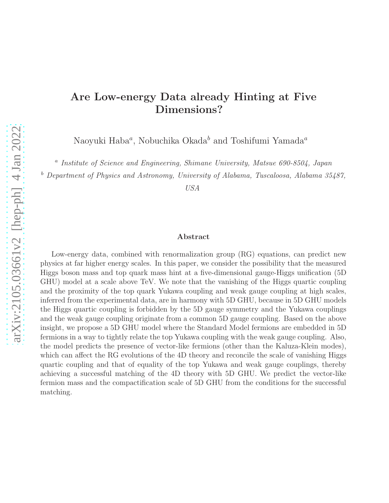# Are Low-energy Data already Hinting at Five Dimensions?

Naoyuki Haba $^a$ , Nobuchika Okada $^b$  and Toshifumi Yamada $^a$ 

<sup>a</sup> Institute of Science and Engineering, Shimane University, Matsue 690-8504, Japan

 $b$  Department of Physics and Astronomy, University of Alabama, Tuscaloosa, Alabama 35487,

USA

#### Abstract

Low-energy data, combined with renormalization group (RG) equations, can predict new physics at far higher energy scales. In this paper, we consider the possibility that the measured Higgs boson mass and top quark mass hint at a five-dimensional gauge-Higgs unification (5D GHU) model at a scale above TeV. We note that the vanishing of the Higgs quartic coupling and the proximity of the top quark Yukawa coupling and weak gauge coupling at high scales, inferred from the experimental data, are in harmony with 5D GHU, because in 5D GHU models the Higgs quartic coupling is forbidden by the 5D gauge symmetry and the Yukawa couplings and the weak gauge coupling originate from a common 5D gauge coupling. Based on the above insight, we propose a 5D GHU model where the Standard Model fermions are embedded in 5D fermions in a way to tightly relate the top Yukawa coupling with the weak gauge coupling. Also, the model predicts the presence of vector-like fermions (other than the Kaluza-Klein modes), which can affect the RG evolutions of the 4D theory and reconcile the scale of vanishing Higgs quartic coupling and that of equality of the top Yukawa and weak gauge couplings, thereby achieving a successful matching of the 4D theory with 5D GHU. We predict the vector-like fermion mass and the compactification scale of 5D GHU from the conditions for the successful matching.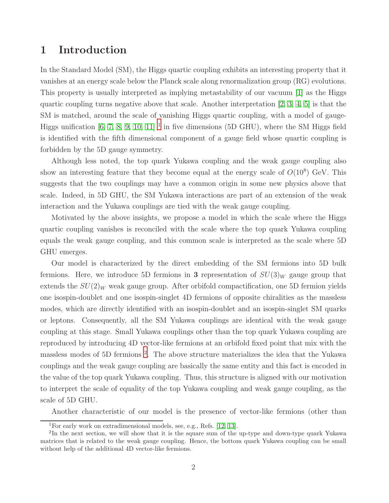# 1 Introduction

In the Standard Model (SM), the Higgs quartic coupling exhibits an interesting property that it vanishes at an energy scale below the Planck scale along renormalization group (RG) evolutions. This property is usually interpreted as implying metastability of our vacuum [\[1\]](#page-18-0) as the Higgs quartic coupling turns negative above that scale. Another interpretation  $[2, 3, 4, 5]$  $[2, 3, 4, 5]$  $[2, 3, 4, 5]$  $[2, 3, 4, 5]$  is that the SM is matched, around the scale of vanishing Higgs quartic coupling, with a model of gauge-Higgs unification  $[6, 7, 8, 9, 10, 11]$  $[6, 7, 8, 9, 10, 11]$  $[6, 7, 8, 9, 10, 11]$  $[6, 7, 8, 9, 10, 11]$  $[6, 7, 8, 9, 10, 11]$  $[6, 7, 8, 9, 10, 11]$ <sup>[1](#page-1-0)</sup> in five dimensions (5D GHU), where the SM Higgs field is identified with the fifth dimensional component of a gauge field whose quartic coupling is forbidden by the 5D gauge symmetry.

Although less noted, the top quark Yukawa coupling and the weak gauge coupling also show an interesting feature that they become equal at the energy scale of  $O(10^8)$  GeV. This suggests that the two couplings may have a common origin in some new physics above that scale. Indeed, in 5D GHU, the SM Yukawa interactions are part of an extension of the weak interaction and the Yukawa couplings are tied with the weak gauge coupling.

Motivated by the above insights, we propose a model in which the scale where the Higgs quartic coupling vanishes is reconciled with the scale where the top quark Yukawa coupling equals the weak gauge coupling, and this common scale is interpreted as the scale where 5D GHU emerges.

Our model is characterized by the direct embedding of the SM fermions into 5D bulk fermions. Here, we introduce 5D fermions in 3 representation of  $SU(3)_W$  gauge group that extends the  $SU(2)_W$  weak gauge group. After orbifold compactification, one 5D fermion yields one isospin-doublet and one isospin-singlet 4D fermions of opposite chiralities as the massless modes, which are directly identified with an isospin-doublet and an isospin-singlet SM quarks or leptons. Consequently, all the SM Yukawa couplings are identical with the weak gauge coupling at this stage. Small Yukawa couplings other than the top quark Yukawa coupling are reproduced by introducing 4D vector-like fermions at an orbifold fixed point that mix with the massless modes of 5D fermions [2](#page-1-1) . The above structure materializes the idea that the Yukawa couplings and the weak gauge coupling are basically the same entity and this fact is encoded in the value of the top quark Yukawa coupling. Thus, this structure is aligned with our motivation to interpret the scale of equality of the top Yukawa coupling and weak gauge coupling, as the scale of 5D GHU.

Another characteristic of our model is the presence of vector-like fermions (other than

<span id="page-1-0"></span><sup>1</sup>For early work on extradimensional models, see, e.g., Refs. [\[12,](#page-19-6) [13\]](#page-19-7).

<span id="page-1-1"></span><sup>&</sup>lt;sup>2</sup>In the next section, we will show that it is the square sum of the up-type and down-type quark Yukawa matrices that is related to the weak gauge coupling. Hence, the bottom quark Yukawa coupling can be small without help of the additional 4D vector-like fermions.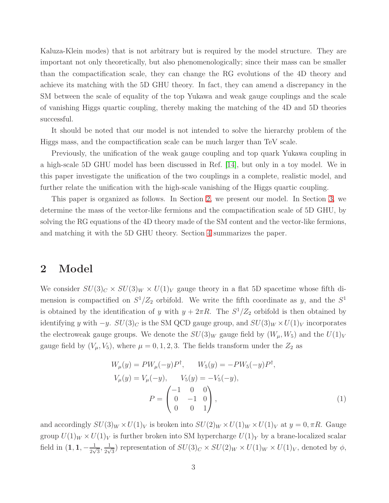Kaluza-Klein modes) that is not arbitrary but is required by the model structure. They are important not only theoretically, but also phenomenologically; since their mass can be smaller than the compactification scale, they can change the RG evolutions of the 4D theory and achieve its matching with the 5D GHU theory. In fact, they can amend a discrepancy in the SM between the scale of equality of the top Yukawa and weak gauge couplings and the scale of vanishing Higgs quartic coupling, thereby making the matching of the 4D and 5D theories successful.

It should be noted that our model is not intended to solve the hierarchy problem of the Higgs mass, and the compactification scale can be much larger than TeV scale.

Previously, the unification of the weak gauge coupling and top quark Yukawa coupling in a high-scale 5D GHU model has been discussed in Ref. [\[14\]](#page-19-8), but only in a toy model. We in this paper investigate the unification of the two couplings in a complete, realistic model, and further relate the unification with the high-scale vanishing of the Higgs quartic coupling.

This paper is organized as follows. In Section [2,](#page-2-0) we present our model. In Section [3,](#page-7-0) we determine the mass of the vector-like fermions and the compactification scale of 5D GHU, by solving the RG equations of the 4D theory made of the SM content and the vector-like fermions, and matching it with the 5D GHU theory. Section [4](#page-11-0) summarizes the paper.

### <span id="page-2-0"></span>2 Model

We consider  $SU(3)_C \times SU(3)_W \times U(1)_V$  gauge theory in a flat 5D spacetime whose fifth dimension is compactified on  $S^1/Z_2$  orbifold. We write the fifth coordinate as y, and the  $S^1$ is obtained by the identification of y with  $y + 2\pi R$ . The  $S^1/Z_2$  orbifold is then obtained by identifying y with  $-y$ .  $SU(3)_C$  is the SM QCD gauge group, and  $SU(3)_W \times U(1)_V$  incorporates the electroweak gauge groups. We denote the  $SU(3)_W$  gauge field by  $(W_\mu, W_5)$  and the  $U(1)_V$ gauge field by  $(V_{\mu}, V_5)$ , where  $\mu = 0, 1, 2, 3$ . The fields transform under the  $Z_2$  as

<span id="page-2-1"></span>
$$
W_{\mu}(y) = PW_{\mu}(-y)P^{\dagger}, \qquad W_5(y) = -PW_5(-y)P^{\dagger},
$$
  
\n
$$
V_{\mu}(y) = V_{\mu}(-y), \qquad V_5(y) = -V_5(-y),
$$
  
\n
$$
P = \begin{pmatrix} -1 & 0 & 0 \\ 0 & -1 & 0 \\ 0 & 0 & 1 \end{pmatrix},
$$
\n(1)

and accordingly  $SU(3)_W \times U(1)_V$  is broken into  $SU(2)_W \times U(1)_W \times U(1)_V$  at  $y = 0, \pi R$ . Gauge group  $U(1)_W \times U(1)_V$  is further broken into SM hypercharge  $U(1)_Y$  by a brane-localized scalar field in  $(1, 1, -\frac{1}{2\nu})$  $\frac{1}{2\sqrt{3}}, \frac{1}{2\sqrt{3}}$  $\frac{1}{2\sqrt{3}}$ ) representation of  $SU(3)_C \times SU(2)_W \times U(1)_W \times U(1)_V$ , denoted by  $\phi$ ,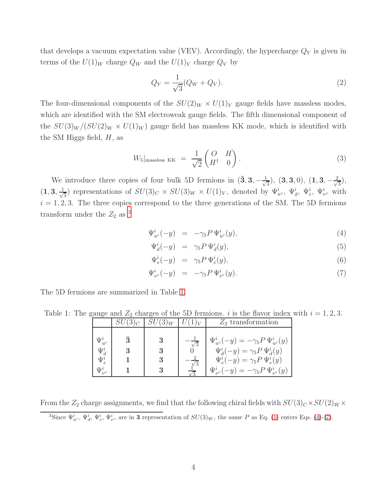that develops a vacuum expectation value (VEV). Accordingly, the hypercharge  $Q<sub>Y</sub>$  is given in terms of the  $U(1)_W$  charge  $Q_W$  and the  $U(1)_V$  charge  $Q_V$  by

$$
Q_Y = \frac{1}{\sqrt{3}} (Q_W + Q_V). \tag{2}
$$

The four-dimensional components of the  $SU(2)_W \times U(1)_Y$  gauge fields have massless modes, which are identified with the SM electroweak gauge fields. The fifth dimensional component of the  $SU(3)_W/(SU(2)_W \times U(1)_W)$  gauge field has massless KK mode, which is identified with the SM Higgs field,  $H$ , as

$$
W_5|_{\text{massless KK}} = \frac{1}{\sqrt{2}} \begin{pmatrix} O & H \\ H^{\dagger} & 0 \end{pmatrix}.
$$
 (3)

We introduce three copies of four bulk 5D fermions in  $(\bar{3}, 3, -\frac{1}{\sqrt{2}})$  $(\overline{3},3,0),\ (1,3,-\frac{2}{\sqrt{2}})$  $\frac{1}{3}$ ),  $(1, 3, \frac{1}{\sqrt{2}})$  $\frac{1}{3}$ ) representations of  $SU(3)_C \times SU(3)_W \times U(1)_V$ , denoted by  $\Psi_{u^c}^i$ ,  $\Psi_{d}^i$ ,  $\Psi_{e}^i$ ,  $\Psi_{\nu^c}^i$  with  $i = 1, 2, 3$ . The three copies correspond to the three generations of the SM. The 5D fermions transform under the  $Z_2$  as <sup>[3](#page-3-0)</sup>

<span id="page-3-2"></span>
$$
\Psi_{u^c}^i(-y) = -\gamma_5 P \Psi_{u^c}^i(y), \tag{4}
$$

$$
\Psi_d^i(-y) = \gamma_5 P \Psi_d^i(y), \tag{5}
$$

$$
\Psi_e^i(-y) = \gamma_5 P \Psi_e^i(y), \tag{6}
$$

$$
\Psi_{\nu^c}^i(-y) = -\gamma_5 P \Psi_{\nu^c}^i(y). \tag{7}
$$

The 5D fermions are summarized in Table [1.](#page-3-1)

Table 1: The gauge and  $Z_2$  charges of the 5D fermions. i is the flavor index with  $i = 1, 2, 3$ .

<span id="page-3-1"></span>

|                                            | $SU(3)_C$ | $\mid SU(3)_W \mid$ |            | $Z_2$ transformation                                                                                                                   |
|--------------------------------------------|-----------|---------------------|------------|----------------------------------------------------------------------------------------------------------------------------------------|
| $\Psi_{u^c}^i$<br>$\Psi^i_{J}$<br>$\Psi^i$ | $\bar{3}$ |                     | $\sqrt{3}$ | $\Psi_{u^c}^i(-y) = -\gamma_5 P \Psi_{u^c}^i(y)$<br>$\Psi_d^i(-y) = \gamma_5 P \Psi_d^i(y)$<br>$\Psi_e^i(-y) = \gamma_5 P \Psi_e^i(y)$ |
| $\Psi^i_{\nu^c}$                           |           |                     |            | $\Psi_{\nu}^{i}(-y) = -\gamma_{5} P \Psi_{\nu}^{i}(y)$                                                                                 |

From the  $Z_2$  charge assignments, we find that the following chiral fields with  $SU(3)_C \times SU(2)_W \times$ 

<span id="page-3-0"></span><sup>3</sup>Since  $\Psi_{u^c}^i$ ,  $\Psi_{d}^i$ ,  $\Psi_{v^c}^i$  are in **3** representation of  $SU(3)_W$ , the same P as Eq. [\(1\)](#page-2-1) enters Eqs. [\(4\)](#page-3-2)-[\(7\)](#page-3-2).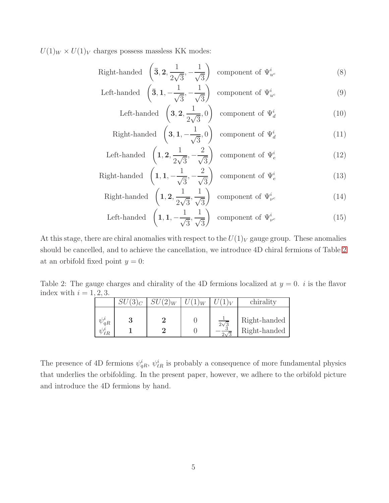$U(1)_W \times U(1)_V$  charges possess massless KK modes:

<span id="page-4-1"></span>Right-handed 
$$
\left(\overline{\mathbf{3}}, \mathbf{2}, \frac{1}{2\sqrt{3}}, -\frac{1}{\sqrt{3}}\right)
$$
 component of  $\Psi_{u^c}^i$  (8)

Left-handed 
$$
\left(\bar{\mathbf{3}}, \mathbf{1}, -\frac{1}{\sqrt{3}}, -\frac{1}{\sqrt{3}}\right)
$$
 component of  $\Psi_{u^c}^i$  (9)

Left-handed 
$$
\left(3, 2, \frac{1}{2\sqrt{3}}, 0\right)
$$
 component of  $\Psi_d^i$  (10)

Right-handed 
$$
\left(3, 1, -\frac{1}{\sqrt{3}}, 0\right)
$$
 component of  $\Psi_d^i$  (11)

Left-handed 
$$
\left(1, 2, \frac{1}{2\sqrt{3}}, -\frac{2}{\sqrt{3}}\right)
$$
 component of  $\Psi_e^i$  (12)

Right-handed 
$$
\left(1, 1, -\frac{1}{\sqrt{3}}, -\frac{2}{\sqrt{3}}\right)
$$
 component of  $\Psi_e^i$  (13)

Right-handed 
$$
\left(1, 2, \frac{1}{2\sqrt{3}}, \frac{1}{\sqrt{3}}\right)
$$
 component of  $\Psi_{\nu^c}^i$  (14)

Left-handed 
$$
\left(1, 1, -\frac{1}{\sqrt{3}}, \frac{1}{\sqrt{3}}\right)
$$
 component of  $\Psi_{\nu^c}^i$  (15)

At this stage, there are chiral anomalies with respect to the  $U(1)_V$  gauge group. These anomalies should be cancelled, and to achieve the cancellation, we introduce 4D chiral fermions of Table [2](#page-4-0) at an orbifold fixed point  $y = 0$ :

Table 2: The gauge charges and chirality of the 4D fermions localized at  $y = 0$ . *i* is the flavor index with  $i = 1, 2, 3$ .

<span id="page-4-0"></span>

|                                | $\mathbf{u}$ |             | chirality                    |
|--------------------------------|--------------|-------------|------------------------------|
| $\psi^i_{qR}$<br>$2/y^{\iota}$ |              | $2\sqrt{3}$ | Right-handed<br>Right-handed |

The presence of 4D fermions  $\psi_{qR}^i$ ,  $\psi_{\ell R}^i$  is probably a consequence of more fundamental physics that underlies the orbifolding. In the present paper, however, we adhere to the orbifold picture and introduce the 4D fermions by hand.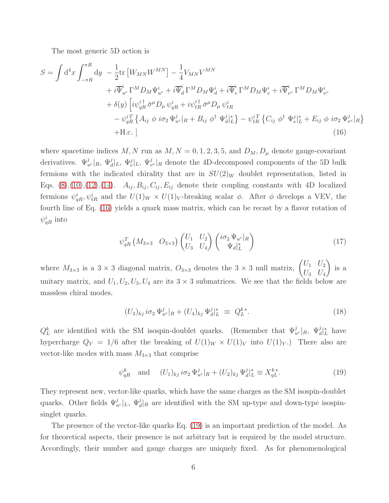The most generic 5D action is

$$
S = \int d^4x \int_{-\pi R}^{\pi R} dy - \frac{1}{2} \text{tr} \left[ W_{MN} W^{MN} \right] - \frac{1}{4} V_{MN} V^{MN}
$$
  
+  $i \overline{\Psi}_{uc}^i \Gamma^M D_M \Psi_{uc}^i + i \overline{\Psi}_d^i \Gamma^M D_M \Psi_d^i + i \overline{\Psi}_e^i \Gamma^M D_M \Psi_e^i + i \overline{\Psi}_{\nu c}^i \Gamma^M D_M \Psi_{\nu c}^i$   
+  $\delta(y) \left[ i \psi_{qR}^{i \dagger} \bar{\sigma}^{\mu} D_{\mu} \psi_{qR}^{i} + i \psi_{\ell R}^{i \dagger} \bar{\sigma}^{\mu} D_{\mu} \psi_{\ell R}^{i}$   
-  $\psi_{qR}^{i T} \left\{ A_{ij} \phi i \sigma_2 \Psi_{uc}^j |_{R} + B_{ij} \phi^{\dagger} \Psi_{d}^j |_{L}^* \right\} - \psi_{\ell R}^{i T} \left\{ C_{ij} \phi^{\dagger} \Psi_{e}^j |_{L}^* + E_{ij} \phi i \sigma_2 \Psi_{\nu c}^j |_{R} \right\}$   
+H.c. (16)

where spacetime indices M, N run as  $M, N = 0, 1, 2, 3, 5$ , and  $D_M, D_\mu$  denote gauge-covariant derivatives.  $\Psi_{u^c}^j|_R$ ,  $\Psi_d^j|_L$ ,  $\Psi_{v^c}^j|_R$  denote the 4D-decomposed components of the 5D bulk fermions with the indicated chirality that are in  $SU(2)_W$  doublet representation, listed in Eqs.  $(8), (10), (12), (14)$  $(8), (10), (12), (14)$  $(8), (10), (12), (14)$  $(8), (10), (12), (14)$  $(8), (10), (12), (14)$  $(8), (10), (12), (14)$ .  $A_{ij}, B_{ij}, C_{ij}, E_{ij}$  denote their coupling constants with 4D localized fermions  $\psi_{qR}^i, \psi_{\ell R}^i$  and the  $U(1)_W \times U(1)_V$ -breaking scalar  $\phi$ . After  $\phi$  develops a VEV, the fourth line of Eq. [\(16\)](#page-5-0) yields a quark mass matrix, which can be recast by a flavor rotation of  $\psi^i_{qR}$  into

<span id="page-5-0"></span>
$$
\psi_{qR}^T \left( M_{3\times 3} \quad O_{3\times 3} \right) \begin{pmatrix} U_1 & U_2 \\ U_3 & U_4 \end{pmatrix} \begin{pmatrix} i\sigma_2 \Psi_{u^c}|_R \\ \Psi_d|_L^* \end{pmatrix} \tag{17}
$$

where  $M_{3\times 3}$  is a  $3\times 3$  diagonal matrix,  $O_{3\times 3}$  denotes the  $3\times 3$  null matrix,  $\begin{pmatrix} U_1 & U_2 \ U_3 & U_4 \end{pmatrix}$  $U_3$   $U_4$  $\setminus$ is a unitary matrix, and  $U_1, U_2, U_3, U_4$  are its  $3 \times 3$  submatrices. We see that the fields below are massless chiral modes,

$$
(U_3)_{kj} i\sigma_2 \Psi_{u^c}^j|_{R} + (U_4)_{kj} \Psi_{d}^j|_{L}^* \equiv Q_L^{k*}.
$$
\n(18)

 $Q_L^k$  are identified with the SM isospin-doublet quarks. (Remember that  $\Psi_{u^c}^j|_R$ ,  $\Psi_{d|L}^j$  have hypercharge  $Q_Y = 1/6$  after the breaking of  $U(1)_W \times U(1)_V$  into  $U(1)_Y$ .) There also are vector-like modes with mass  $M_{3\times 3}$  that comprise

<span id="page-5-1"></span>
$$
\psi_{qR}^k \quad \text{and} \quad (U_1)_{kj} \, i\sigma_2 \, \Psi_{u^c}^j|_R + (U_2)_{kj} \, \Psi_d^j|_L^* \equiv X_{qL}^{k*}.
$$
 (19)

They represent new, vector-like quarks, which have the same charges as the SM isospin-doublet quarks. Other fields  $\Psi_{u^c}^j|_L$ ,  $\Psi_d^j|_R$  are identified with the SM up-type and down-type isospinsinglet quarks.

The presence of the vector-like quarks Eq. [\(19\)](#page-5-1) is an important prediction of the model. As for theoretical aspects, their presence is not arbitrary but is required by the model structure. Accordingly, their number and gauge charges are uniquely fixed. As for phenomenological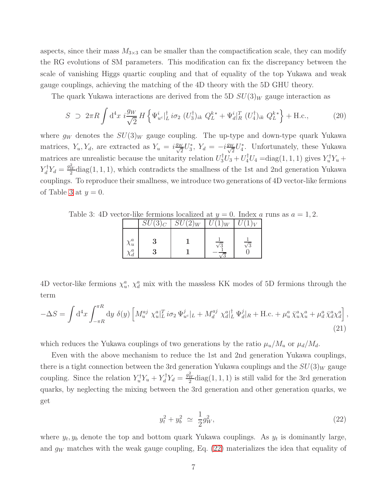aspects, since their mass  $M_{3\times 3}$  can be smaller than the compactification scale, they can modify the RG evolutions of SM parameters. This modification can fix the discrepancy between the scale of vanishing Higgs quartic coupling and that of equality of the top Yukawa and weak gauge couplings, achieving the matching of the 4D theory with the 5D GHU theory.

The quark Yukawa interactions are derived from the 5D  $SU(3)_W$  gauge interaction as

$$
S \supset 2\pi R \int d^4x \; i \frac{g_W}{\sqrt{2}} H \left\{ \Psi_{u^c}^{\dagger} \big|_{L}^{t} i \sigma_2 \; (U_3^{\dagger})_{ik} \; Q_L^{k*} + \Psi_d^i \big|_{R}^{T} \; (U_4^{\dagger})_{ik} \; Q_L^{k*} \right\} + \text{H.c.}, \tag{20}
$$

where  $g_W$  denotes the  $SU(3)_W$  gauge coupling. The up-type and down-type quark Yukawa matrices,  $Y_u$ ,  $Y_d$ , are extracted as  $Y_u = i \frac{g_W}{\sqrt{2}} U_3^*$ ,  $Y_d = -i \frac{g_W}{\sqrt{2}} U_4^*$ . Unfortunately, these Yukawa matrices are unrealistic because the unitarity relation  $U_3^{\dagger}U_3 + U_4^{\dagger}U_4 = \text{diag}(1, 1, 1)$  gives  $Y_u^{\dagger}Y_u +$  $Y_d^{\dagger} Y_d = \frac{g_W^2}{2} \text{diag}(1,1,1)$ , which contradicts the smallness of the 1st and 2nd generation Yukawa couplings. To reproduce their smallness, we introduce two generations of 4D vector-like fermions of Table [3](#page-6-0) at  $y=0$ .

Table 3: 4D vector-like fermions localized at  $y = 0$ . Index a runs as  $a = 1, 2$ .

<span id="page-6-0"></span>

|                          | $SU(3)_C$ | $SU(2)_W$ | $U(1)_W$ |            |
|--------------------------|-----------|-----------|----------|------------|
| $\chi^a_u$<br>$\chi_d^a$ |           |           |          | $\sqrt{3}$ |

4D vector-like fermions  $\chi_u^a$ ,  $\chi_d^a$  mix with the massless KK modes of 5D fermions through the term

$$
-\Delta S = \int d^4x \int_{-\pi R}^{\pi R} dy \ \delta(y) \left[ M_u^{aj} \ \chi_u^a \vert_L^T i\sigma_2 \ \Psi_{u^c}^j \vert_L + M_d^{aj} \ \chi_d^a \vert_L^{\dagger} \ \Psi_d^j \vert_R + \text{H.c.} + \mu_u^a \ \bar{\chi}_u^a \chi_u^a + \mu_d^a \ \bar{\chi}_d^a \chi_d^a \right], \tag{21}
$$

which reduces the Yukawa couplings of two generations by the ratio  $\mu_u/M_u$  or  $\mu_d/M_d$ .

Even with the above mechanism to reduce the 1st and 2nd generation Yukawa couplings, there is a tight connection between the 3rd generation Yukawa couplings and the  $SU(3)_W$  gauge coupling. Since the relation  $Y_u^{\dagger} Y_u + Y_d^{\dagger} Y_d = \frac{g_W^2}{2} \text{diag}(1,1,1)$  is still valid for the 3rd generation quarks, by neglecting the mixing between the 3rd generation and other generation quarks, we get

<span id="page-6-1"></span>
$$
y_t^2 + y_b^2 \simeq \frac{1}{2}g_W^2,\tag{22}
$$

where  $y_t, y_b$  denote the top and bottom quark Yukawa couplings. As  $y_t$  is dominantly large, and  $g_W$  matches with the weak gauge coupling, Eq. [\(22\)](#page-6-1) materializes the idea that equality of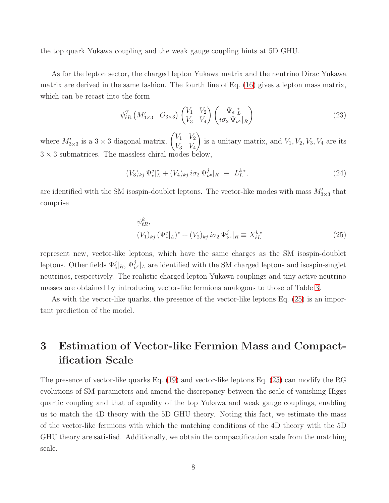the top quark Yukawa coupling and the weak gauge coupling hints at 5D GHU.

As for the lepton sector, the charged lepton Yukawa matrix and the neutrino Dirac Yukawa matrix are derived in the same fashion. The fourth line of Eq. [\(16\)](#page-5-0) gives a lepton mass matrix, which can be recast into the form

$$
\psi_{\ell R}^T \left( M'_{3 \times 3} \quad O_{3 \times 3} \right) \begin{pmatrix} V_1 & V_2 \\ V_3 & V_4 \end{pmatrix} \begin{pmatrix} \Psi_e \vert_L^* \\ i \sigma_2 \Psi_{\nu^c} \vert_R \end{pmatrix} \tag{23}
$$

where  $M'_{3\times 3}$  is a  $3\times 3$  diagonal matrix,  $\begin{pmatrix} V_1 & V_2 \\ V_3 & V_4 \end{pmatrix}$  $V_3$   $V_4$  $\setminus$ is a unitary matrix, and  $V_1, V_2, V_3, V_4$  are its  $3 \times 3$  submatrices. The massless chiral modes below,

$$
(V_3)_{kj} \Psi_e^j|_L^* + (V_4)_{kj} i\sigma_2 \Psi_{\nu^c}^j|_R \equiv L_L^{k*}, \tag{24}
$$

are identified with the SM isospin-doublet leptons. The vector-like modes with mass  $M'_{3\times 3}$  that comprise

<span id="page-7-1"></span>
$$
\psi_{\ell R}^k,
$$
  
\n
$$
(V_1)_{kj} (\Psi_e^j|_L)^* + (V_2)_{kj} i \sigma_2 \Psi_{\nu^c}^j|_R \equiv X_{\ell L}^{k*}
$$
\n(25)

represent new, vector-like leptons, which have the same charges as the SM isospin-doublet leptons. Other fields  $\Psi_e^j|_R$ ,  $\Psi_{\nu}^j|_L$  are identified with the SM charged leptons and isospin-singlet neutrinos, respectively. The realistic charged lepton Yukawa couplings and tiny active neutrino masses are obtained by introducing vector-like fermions analogous to those of Table [3.](#page-6-0)

As with the vector-like quarks, the presence of the vector-like leptons Eq. [\(25\)](#page-7-1) is an important prediction of the model.

# <span id="page-7-0"></span>3 Estimation of Vector-like Fermion Mass and Compactification Scale

The presence of vector-like quarks Eq. [\(19\)](#page-5-1) and vector-like leptons Eq. [\(25\)](#page-7-1) can modify the RG evolutions of SM parameters and amend the discrepancy between the scale of vanishing Higgs quartic coupling and that of equality of the top Yukawa and weak gauge couplings, enabling us to match the 4D theory with the 5D GHU theory. Noting this fact, we estimate the mass of the vector-like fermions with which the matching conditions of the 4D theory with the 5D GHU theory are satisfied. Additionally, we obtain the compactification scale from the matching scale.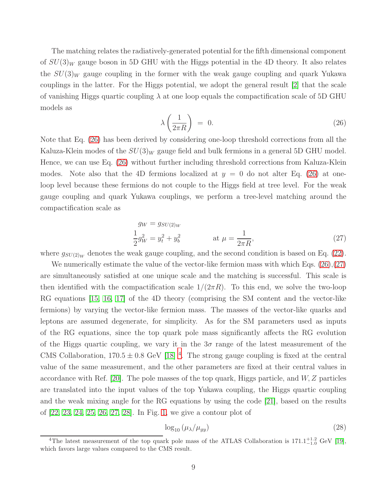The matching relates the radiatively-generated potential for the fifth dimensional component of  $SU(3)_W$  gauge boson in 5D GHU with the Higgs potential in the 4D theory. It also relates the  $SU(3)_W$  gauge coupling in the former with the weak gauge coupling and quark Yukawa couplings in the latter. For the Higgs potential, we adopt the general result [\[2\]](#page-18-1) that the scale of vanishing Higgs quartic coupling  $\lambda$  at one loop equals the compactification scale of 5D GHU models as

<span id="page-8-0"></span>
$$
\lambda \left( \frac{1}{2\pi R} \right) = 0. \tag{26}
$$

Note that Eq. [\(26\)](#page-8-0) has been derived by considering one-loop threshold corrections from all the Kaluza-Klein modes of the  $SU(3)_W$  gauge field and bulk fermions in a general 5D GHU model. Hence, we can use Eq. [\(26\)](#page-8-0) without further including threshold corrections from Kaluza-Klein modes. Note also that the 4D fermions localized at  $y = 0$  do not alter Eq. [\(26\)](#page-8-0) at oneloop level because these fermions do not couple to the Higgs field at tree level. For the weak gauge coupling and quark Yukawa couplings, we perform a tree-level matching around the compactification scale as

<span id="page-8-1"></span>
$$
g_W = g_{SU(2)_W}
$$
  
\n
$$
\frac{1}{2}g_W^2 = y_t^2 + y_b^2
$$
 at  $\mu = \frac{1}{2\pi R}$ , (27)

where  $g_{SU(2)_W}$  denotes the weak gauge coupling, and the second condition is based on Eq. [\(22\)](#page-6-1).

We numerically estimate the value of the vector-like fermion mass with which Eqs.  $(26),(27)$  $(26),(27)$ are simultaneously satisfied at one unique scale and the matching is successful. This scale is then identified with the compactification scale  $1/(2\pi R)$ . To this end, we solve the two-loop RG equations [\[15,](#page-19-9) [16,](#page-19-10) [17\]](#page-19-11) of the 4D theory (comprising the SM content and the vector-like fermions) by varying the vector-like fermion mass. The masses of the vector-like quarks and leptons are assumed degenerate, for simplicity. As for the SM parameters used as inputs of the RG equations, since the top quark pole mass significantly affects the RG evolution of the Higgs quartic coupling, we vary it in the  $3\sigma$  range of the latest measurement of the CMS Collaboration,  $170.5 \pm 0.8$  GeV [\[18\]](#page-19-12)<sup>[4](#page-8-2)</sup>. The strong gauge coupling is fixed at the central value of the same measurement, and the other parameters are fixed at their central values in accordance with Ref. [\[20\]](#page-20-0). The pole masses of the top quark, Higgs particle, and  $W, Z$  particles are translated into the input values of the top Yukawa coupling, the Higgs quartic coupling and the weak mixing angle for the RG equations by using the code [\[21\]](#page-20-1), based on the results of [\[22,](#page-20-2) [23,](#page-20-3) [24,](#page-20-4) [25,](#page-20-5) [26,](#page-20-6) [27,](#page-20-7) [28\]](#page-20-8). In Fig. [1,](#page-9-0) we give a contour plot of

<span id="page-8-3"></span>
$$
\log_{10} \left( \mu_{\lambda} / \mu_{gy} \right) \tag{28}
$$

<span id="page-8-2"></span><sup>&</sup>lt;sup>4</sup>The latest measurement of the top quark pole mass of the ATLAS Collaboration is  $171.1^{+1.2}_{-1.0}$  GeV [\[19\]](#page-20-9), which favors large values compared to the CMS result.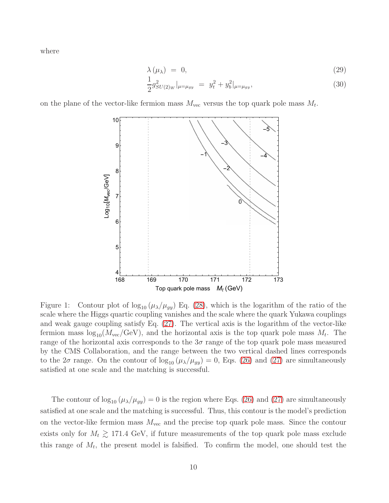where

$$
\lambda(\mu_{\lambda}) = 0, \tag{29}
$$

$$
\frac{1}{2}g_{SU(2)_W}^2|_{\mu=\mu_{gy}} = y_t^2 + y_b^2|_{\mu=\mu_{gy}},
$$
\n(30)

on the plane of the vector-like fermion mass  $M_{\text{vec}}$  versus the top quark pole mass  $M_t$ .



<span id="page-9-0"></span>Figure 1: Contour plot of  $\log_{10} (\mu_{\lambda}/\mu_{gy})$  Eq. [\(28\)](#page-8-3), which is the logarithm of the ratio of the scale where the Higgs quartic coupling vanishes and the scale where the quark Yukawa couplings and weak gauge coupling satisfy Eq. [\(27\)](#page-8-1). The vertical axis is the logarithm of the vector-like fermion mass  $log_{10}(M_{\text{vec}}/\text{GeV})$ , and the horizontal axis is the top quark pole mass  $M_t$ . The range of the horizontal axis corresponds to the  $3\sigma$  range of the top quark pole mass measured by the CMS Collaboration, and the range between the two vertical dashed lines corresponds to the  $2\sigma$  range. On the contour of  $\log_{10} (\mu_{\lambda}/\mu_{gy}) = 0$ , Eqs. [\(26\)](#page-8-0) and [\(27\)](#page-8-1) are simultaneously satisfied at one scale and the matching is successful.

The contour of  $\log_{10} (\mu_{\lambda}/\mu_{gy}) = 0$  is the region where Eqs. [\(26\)](#page-8-0) and [\(27\)](#page-8-1) are simultaneously satisfied at one scale and the matching is successful. Thus, this contour is the model's prediction on the vector-like fermion mass  $M_{\text{vec}}$  and the precise top quark pole mass. Since the contour exists only for  $M_t \gtrsim 171.4$  GeV, if future measurements of the top quark pole mass exclude this range of  $M_t$ , the present model is falsified. To confirm the model, one should test the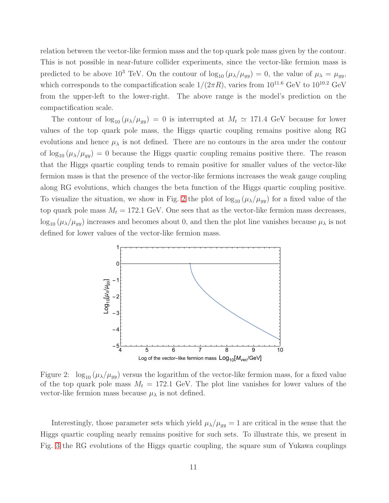relation between the vector-like fermion mass and the top quark pole mass given by the contour. This is not possible in near-future collider experiments, since the vector-like fermion mass is predicted to be above 10<sup>3</sup> TeV. On the contour of  $\log_{10} (\mu_{\lambda}/\mu_{gy}) = 0$ , the value of  $\mu_{\lambda} = \mu_{gy}$ , which corresponds to the compactification scale  $1/(2\pi R)$ , varies from  $10^{11.6}$  GeV to  $10^{10.2}$  GeV from the upper-left to the lower-right. The above range is the model's prediction on the compactification scale.

The contour of  $\log_{10} (\mu_{\lambda}/\mu_{gg}) = 0$  is interrupted at  $M_t \simeq 171.4$  GeV because for lower values of the top quark pole mass, the Higgs quartic coupling remains positive along RG evolutions and hence  $\mu_{\lambda}$  is not defined. There are no contours in the area under the contour of  $\log_{10} (\mu_{\lambda}/\mu_{gy}) = 0$  because the Higgs quartic coupling remains positive there. The reason that the Higgs quartic coupling tends to remain positive for smaller values of the vector-like fermion mass is that the presence of the vector-like fermions increases the weak gauge coupling along RG evolutions, which changes the beta function of the Higgs quartic coupling positive. To visualize the situation, we show in Fig. [2](#page-10-0) the plot of  $\log_{10} (\mu_{\lambda}/\mu_{gy})$  for a fixed value of the top quark pole mass  $M_t = 172.1$  GeV. One sees that as the vector-like fermion mass decreases,  $\log_{10} (\mu_{\lambda}/\mu_{gy})$  increases and becomes about 0, and then the plot line vanishes because  $\mu_{\lambda}$  is not defined for lower values of the vector-like fermion mass.



<span id="page-10-0"></span>Figure 2:  $\log_{10} (\mu_{\lambda}/\mu_{gy})$  versus the logarithm of the vector-like fermion mass, for a fixed value of the top quark pole mass  $M_t = 172.1$  GeV. The plot line vanishes for lower values of the vector-like fermion mass because  $\mu_{\lambda}$  is not defined.

Interestingly, those parameter sets which yield  $\mu_{\lambda}/\mu_{gy} = 1$  are critical in the sense that the Higgs quartic coupling nearly remains positive for such sets. To illustrate this, we present in Fig. [3](#page-11-1) the RG evolutions of the Higgs quartic coupling, the square sum of Yukawa couplings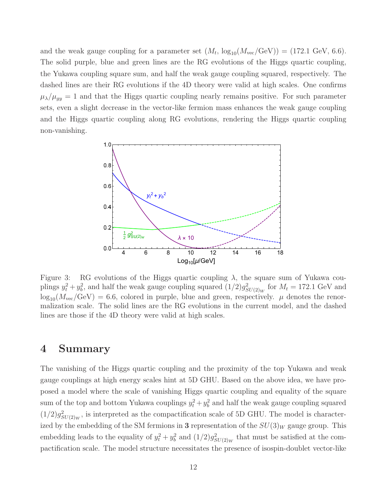and the weak gauge coupling for a parameter set  $(M_t, \log_{10}(M_{\text{vec}}/\text{GeV})) = (172.1 \text{ GeV}, 6.6)$ . The solid purple, blue and green lines are the RG evolutions of the Higgs quartic coupling, the Yukawa coupling square sum, and half the weak gauge coupling squared, respectively. The dashed lines are their RG evolutions if the 4D theory were valid at high scales. One confirms  $\mu_{\lambda}/\mu_{gy} = 1$  and that the Higgs quartic coupling nearly remains positive. For such parameter sets, even a slight decrease in the vector-like fermion mass enhances the weak gauge coupling and the Higgs quartic coupling along RG evolutions, rendering the Higgs quartic coupling non-vanishing.



<span id="page-11-1"></span>Figure 3: RG evolutions of the Higgs quartic coupling  $\lambda$ , the square sum of Yukawa couplings  $y_t^2 + y_b^2$ , and half the weak gauge coupling squared  $(1/2)g_{SU(2)_W}^2$  for  $M_t = 172.1$  GeV and  $\log_{10}(M_{\text{vec}}/\text{GeV}) = 6.6$ , colored in purple, blue and green, respectively.  $\mu$  denotes the renormalization scale. The solid lines are the RG evolutions in the current model, and the dashed lines are those if the 4D theory were valid at high scales.

#### <span id="page-11-0"></span>4 Summary

The vanishing of the Higgs quartic coupling and the proximity of the top Yukawa and weak gauge couplings at high energy scales hint at 5D GHU. Based on the above idea, we have proposed a model where the scale of vanishing Higgs quartic coupling and equality of the square sum of the top and bottom Yukawa couplings  $y_t^2 + y_b^2$  and half the weak gauge coupling squared  $(1/2)g_{SU(2)_W}^2$ , is interpreted as the compactification scale of 5D GHU. The model is characterized by the embedding of the SM fermions in 3 representation of the  $SU(3)_W$  gauge group. This embedding leads to the equality of  $y_t^2 + y_b^2$  and  $(1/2)g_{SU(2)_W}^2$  that must be satisfied at the compactification scale. The model structure necessitates the presence of isospin-doublet vector-like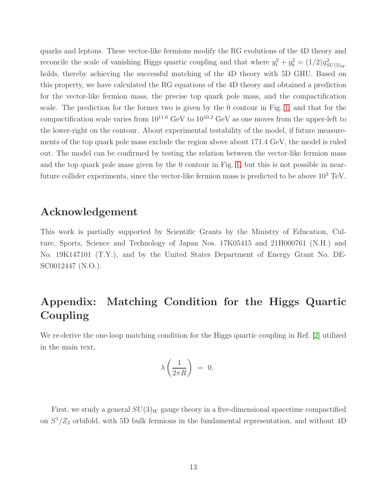quarks and leptons. These vector-like fermions modify the RG evolutions of the 4D theory and reconcile the scale of vanishing Higgs quartic coupling and that where  $y_t^2 + y_b^2 = (1/2)g_{SU(2)_W}^2$ holds, thereby achieving the successful matching of the 4D theory with 5D GHU. Based on this property, we have calculated the RG equations of the 4D theory and obtained a prediction for the vector-like fermion mass, the precise top quark pole mass, and the compactification scale. The prediction for the former two is given by the 0 contour in Fig. [1,](#page-9-0) and that for the compactification scale varies from  $10^{11.6}$  GeV to  $10^{10.2}$  GeV as one moves from the upper-left to the lower-right on the contour. About experimental testability of the model, if future measurements of the top quark pole mass exclude the region above about 171.4 GeV, the model is ruled out. The model can be confirmed by testing the relation between the vector-like fermion mass and the top quark pole mass given by the 0 contour in Fig. [1,](#page-9-0) but this is not possible in nearfuture collider experiments, since the vector-like fermion mass is predicted to be above  $10^3$  TeV.

# Acknowledgement

This work is partially supported by Scientific Grants by the Ministry of Education, Culture, Sports, Science and Technology of Japan Nos. 17K05415 and 21H000761 (N.H.) and No. 19K147101 (T.Y.), and by the United States Department of Energy Grant No. DE-SC0012447 (N.O.).

# Appendix: Matching Condition for the Higgs Quartic Coupling

We re-derive the one-loop matching condition for the Higgs quartic coupling in Ref. [\[2\]](#page-18-1) utilized in the main text,

$$
\lambda \left( \frac{1}{2\pi R} \right) = 0.
$$

First, we study a general  $SU(3)_W$  gauge theory in a five-dimensional spacetime compactified on  $S^1/Z_2$  orbifold, with 5D bulk fermions in the fundamental representation, and without 4D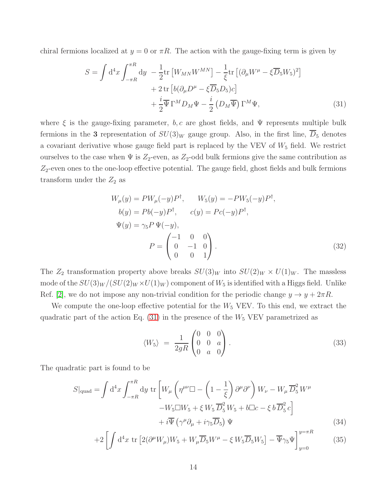chiral fermions localized at  $y = 0$  or  $\pi R$ . The action with the gauge-fixing term is given by

$$
S = \int d^4x \int_{-\pi R}^{\pi R} dy - \frac{1}{2} \text{tr} \left[ W_{MN} W^{MN} \right] - \frac{1}{\xi} \text{tr} \left[ (\partial_\mu W^\mu - \xi \overline{D}_5 W_5)^2 \right] + 2 \text{tr} \left[ b (\partial_\mu D^\mu - \xi \overline{D}_5 D_5) c \right] + \frac{i}{2} \overline{\Psi} \Gamma^M D_M \Psi - \frac{i}{2} \left( D_M \overline{\Psi} \right) \Gamma^M \Psi,
$$
(31)

where  $\xi$  is the gauge-fixing parameter, b, c are ghost fields, and  $\Psi$  represents multiple bulk fermions in the 3 representation of  $SU(3)_W$  gauge group. Also, in the first line,  $\overline{D}_5$  denotes a covariant derivative whose gauge field part is replaced by the VEV of  $W_5$  field. We restrict ourselves to the case when  $\Psi$  is  $Z_2$ -even, as  $Z_2$ -odd bulk fermions give the same contribution as  $Z_2$ -even ones to the one-loop effective potential. The gauge field, ghost fields and bulk fermions transform under the  $Z_2$  as

<span id="page-13-0"></span>
$$
W_{\mu}(y) = PW_{\mu}(-y)P^{\dagger}, \qquad W_{5}(y) = -PW_{5}(-y)P^{\dagger},
$$
  
\n
$$
b(y) = Pb(-y)P^{\dagger}, \qquad c(y) = Pc(-y)P^{\dagger},
$$
  
\n
$$
\Psi(y) = \gamma_{5}P \Psi(-y),
$$
  
\n
$$
P = \begin{pmatrix} -1 & 0 & 0 \\ 0 & -1 & 0 \\ 0 & 0 & 1 \end{pmatrix}.
$$
 (32)

The  $Z_2$  transformation property above breaks  $SU(3)_W$  into  $SU(2)_W \times U(1)_W$ . The massless mode of the  $SU(3)_W/(SU(2)_W \times U(1)_W)$  component of  $W_5$  is identified with a Higgs field. Unlike Ref. [\[2\]](#page-18-1), we do not impose any non-trivial condition for the periodic change  $y \to y + 2\pi R$ .

We compute the one-loop effective potential for the  $W_5$  VEV. To this end, we extract the quadratic part of the action Eq.  $(31)$  in the presence of the  $W_5$  VEV parametrized as

<span id="page-13-3"></span><span id="page-13-2"></span><span id="page-13-1"></span>
$$
\langle W_5 \rangle = \frac{1}{2gR} \begin{pmatrix} 0 & 0 & 0 \\ 0 & 0 & a \\ 0 & a & 0 \end{pmatrix} . \tag{33}
$$

The quadratic part is found to be

$$
S|_{\text{quad}} = \int d^4x \int_{-\pi R}^{\pi R} dy \text{ tr} \left[ W_{\mu} \left( \eta^{\mu \nu} \Box - \left( 1 - \frac{1}{\xi} \right) \partial^{\mu} \partial^{\nu} \right) W_{\nu} - W_{\mu} \overline{D}_5^2 W^{\mu} \right. \\ \left. - W_5 \Box W_5 + \xi W_5 \overline{D}_5^2 W_5 + b \Box c - \xi b \overline{D}_5^2 c \right] \\ + i \overline{\Psi} \left( \gamma^{\mu} \partial_{\mu} + i \gamma_5 \overline{D}_5 \right) \Psi \qquad (34)
$$

$$
+2\left[\int d^4x \operatorname{tr}\left[2(\partial^{\mu}W_{\mu})W_5 + W_{\mu}\overline{D}_5W^{\mu} - \xi W_5\overline{D}_5W_5\right] - \overline{\Psi}\gamma_5\Psi\right]_{y=0}^{y=\pi R}
$$
(35)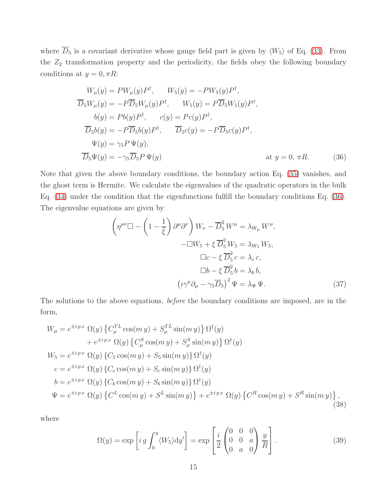where  $\overline{D}_5$  is a covariant derivative whose gauge field part is given by  $\langle W_5 \rangle$  of Eq. [\(33\)](#page-13-1). From the  $Z_2$  transformation property and the periodicity, the fields obey the following boundary conditions at  $y = 0, \pi R$ :

$$
W_{\mu}(y) = PW_{\mu}(y)P^{\dagger}, \qquad W_{5}(y) = -PW_{5}(y)P^{\dagger},
$$
  
\n
$$
\overline{D}_{5}W_{\mu}(y) = -P\overline{D}_{5}W_{\mu}(y)P^{\dagger}, \qquad W_{5}(y) = P\overline{D}_{5}W_{5}(y)P^{\dagger},
$$
  
\n
$$
b(y) = Pb(y)P^{\dagger}, \qquad c(y) = Pc(y)P^{\dagger},
$$
  
\n
$$
\overline{D}_{5}b(y) = -P\overline{D}_{5}b(y)P^{\dagger}, \qquad \overline{D}_{5}c(y) = -P\overline{D}_{5}c(y)P^{\dagger},
$$
  
\n
$$
\Psi(y) = \gamma_{5}P\Psi(y),
$$
  
\n
$$
\overline{D}_{5}\Psi(y) = -\gamma_{5}\overline{D}_{5}P\Psi(y)
$$
  
\nat  $y = 0, \pi R.$  (36)

Note that given the above boundary conditions, the boundary action Eq. [\(35\)](#page-13-2) vanishes, and the ghost term is Hermite. We calculate the eigenvalues of the quadratic operators in the bulk Eq. [\(34\)](#page-13-3) under the condition that the eigenfunctions fulfill the boundary conditions Eq. [\(36\)](#page-14-0). The eigenvalue equations are given by

<span id="page-14-0"></span>
$$
\left(\eta^{\mu\nu}\Box - \left(1 - \frac{1}{\xi}\right)\partial^{\mu}\partial^{\nu}\right)W_{\nu} - \overline{D}_{5}^{2}W^{\mu} = \lambda_{W_{\mu}}W^{\mu},
$$

$$
-\Box W_{5} + \xi\,\overline{D}_{5}^{2}W_{5} = \lambda_{W_{5}}W_{5},
$$

$$
\Box c - \xi\,\overline{D}_{5}^{2}c = \lambda_{c}c,
$$

$$
\Box b - \xi\,\overline{D}_{5}^{2}b = \lambda_{b}b,
$$

$$
\left(i\gamma^{\mu}\partial_{\mu} - \gamma_{5}\overline{D}_{5}\right)^{2}\Psi = \lambda_{\Psi}\Psi.
$$
(37)

The solutions to the above equations, before the boundary conditions are imposed, are in the form,

$$
W_{\mu} = e^{\pm ipx} \Omega(y) \left\{ C_{\mu}^{TL} \cos(m y) + S_{\mu}^{TL} \sin(m y) \right\} \Omega^{\dagger}(y)
$$
  
+  $e^{\pm ipx} \Omega(y) \left\{ C_{\mu}^{S} \cos(m y) + S_{\mu}^{S} \sin(m y) \right\} \Omega^{\dagger}(y)$   

$$
W_{5} = e^{\pm ipx} \Omega(y) \left\{ C_{5} \cos(m y) + S_{5} \sin(m y) \right\} \Omega^{\dagger}(y)
$$
  

$$
c = e^{\pm ipx} \Omega(y) \left\{ C_{c} \cos(m y) + S_{c} \sin(m y) \right\} \Omega^{\dagger}(y)
$$
  

$$
b = e^{\pm ipx} \Omega(y) \left\{ C_{b} \cos(m y) + S_{b} \sin(m y) \right\} \Omega^{\dagger}(y)
$$
  

$$
\Psi = e^{\pm ipx} \Omega(y) \left\{ C^{L} \cos(m y) + S^{L} \sin(m y) \right\} + e^{\pm ipx} \Omega(y) \left\{ C^{R} \cos(m y) + S^{R} \sin(m y) \right\},
$$
  
(38)

where

<span id="page-14-1"></span>
$$
\Omega(y) = \exp\left[ig \int_0^y \langle W_5 \rangle dy'\right] = \exp\left[\frac{i}{2} \begin{pmatrix} 0 & 0 & 0 \\ 0 & 0 & a \\ 0 & a & 0 \end{pmatrix} \frac{y}{R}\right].
$$
\n(39)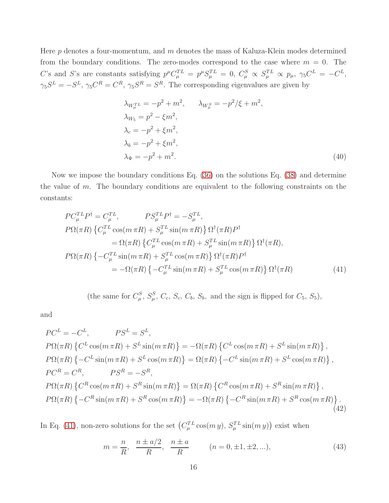Here  $p$  denotes a four-momentum, and  $m$  denotes the mass of Kaluza-Klein modes determined from the boundary conditions. The zero-modes correspond to the case where  $m = 0$ . The C's and S's are constants satisfying  $p^{\mu}C_{\mu}^{TL} = p^{\mu}S_{\mu}^{TL} = 0$ ,  $C_{\mu}^{S} \propto S_{\mu}^{TL} \propto p_{\mu}$ ,  $\gamma_5 C^{L} = -C^{L}$ ,  $\gamma_5 S^L = -S^L$ ,  $\gamma_5 C^R = C^R$ ,  $\gamma_5 S^R = S^R$ . The corresponding eigenvalues are given by

<span id="page-15-3"></span>
$$
\lambda_{W_{\mu}^{TL}} = -p^2 + m^2, \qquad \lambda_{W_{\mu}^{S}} = -p^2/\xi + m^2, \n\lambda_{W_{5}} = p^2 - \xi m^2, \n\lambda_{c} = -p^2 + \xi m^2, \n\lambda_{b} = -p^2 + \xi m^2, \n\lambda_{\Psi} = -p^2 + m^2.
$$
\n(40)

Now we impose the boundary conditions Eq. [\(36\)](#page-14-0) on the solutions Eq. [\(38\)](#page-14-1) and determine the value of m. The boundary conditions are equivalent to the following constraints on the constants:

$$
PC_{\mu}^{TL}P^{\dagger} = C_{\mu}^{TL}, \qquad PS_{\mu}^{TL}P^{\dagger} = -S_{\mu}^{TL},
$$
  
\n
$$
P\Omega(\pi R) \left\{ C_{\mu}^{TL}\cos(m\pi R) + S_{\mu}^{TL}\sin(m\pi R) \right\} \Omega^{\dagger}(\pi R)P^{\dagger}
$$
  
\n
$$
= \Omega(\pi R) \left\{ C_{\mu}^{TL}\cos(m\pi R) + S_{\mu}^{TL}\sin(m\pi R) \right\} \Omega^{\dagger}(\pi R),
$$
  
\n
$$
P\Omega(\pi R) \left\{ -C_{\mu}^{TL}\sin(m\pi R) + S_{\mu}^{TL}\cos(m\pi R) \right\} \Omega^{\dagger}(\pi R)P^{\dagger}
$$
  
\n
$$
= -\Omega(\pi R) \left\{ -C_{\mu}^{TL}\sin(m\pi R) + S_{\mu}^{TL}\cos(m\pi R) \right\} \Omega^{\dagger}(\pi R)
$$
(41)

<span id="page-15-0"></span>(the same for  $C_{\mu}^{S}$ ,  $S_{\mu}^{S}$ ,  $C_{c}$ ,  $S_{c}$ ,  $C_{b}$ ,  $S_{b}$ , and the sign is flipped for  $C_{5}$ ,  $S_{5}$ ),

and

$$
PC^{L} = -C^{L}, \qquad PS^{L} = S^{L},
$$
  
\n
$$
P\Omega(\pi R) \{ C^{L} \cos(m \pi R) + S^{L} \sin(m \pi R) \} = -\Omega(\pi R) \{ C^{L} \cos(m \pi R) + S^{L} \sin(m \pi R) \},
$$
  
\n
$$
P\Omega(\pi R) \{-C^{L} \sin(m \pi R) + S^{L} \cos(m \pi R) \} = \Omega(\pi R) \{-C^{L} \sin(m \pi R) + S^{L} \cos(m \pi R) \},
$$
  
\n
$$
PC^{R} = C^{R}, \qquad PS^{R} = -S^{R},
$$
  
\n
$$
P\Omega(\pi R) \{ C^{R} \cos(m \pi R) + S^{R} \sin(m \pi R) \} = \Omega(\pi R) \{ C^{R} \cos(m \pi R) + S^{R} \sin(m \pi R) \},
$$
  
\n
$$
P\Omega(\pi R) \{-C^{R} \sin(m \pi R) + S^{R} \cos(m \pi R) \} = -\Omega(\pi R) \{-C^{R} \sin(m \pi R) + S^{R} \cos(m \pi R) \}.
$$
  
\n(42)

In Eq. [\(41\)](#page-15-0), non-zero solutions for the set  $(C_{\mu}^{TL}\cos(m y), S_{\mu}^{TL}\sin(m y))$  exist when

<span id="page-15-2"></span><span id="page-15-1"></span>
$$
m = \frac{n}{R}, \quad \frac{n \pm a/2}{R}, \quad \frac{n \pm a}{R} \qquad (n = 0, \pm 1, \pm 2, \ldots), \tag{43}
$$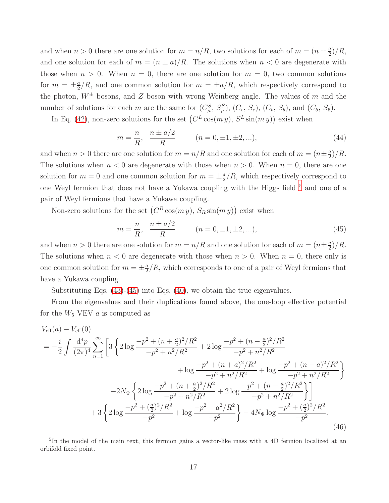and when  $n > 0$  there are one solution for  $m = n/R$ , two solutions for each of  $m = (n \pm \frac{a}{2})$  $\frac{a}{2})/R,$ and one solution for each of  $m = (n \pm a)/R$ . The solutions when  $n < 0$  are degenerate with those when  $n > 0$ . When  $n = 0$ , there are one solution for  $m = 0$ , two common solutions for  $m = \pm \frac{a}{2}$  $\frac{a}{2}/R$ , and one common solution for  $m = \pm a/R$ , which respectively correspond to the photon,  $W^{\pm}$  bosons, and Z boson with wrong Weinberg angle. The values of m and the number of solutions for each m are the same for  $(C_{\mu}^{S}, S_{\mu}^{S}), (C_{c}, S_{c}), (C_{b}, S_{b}),$  and  $(C_{5}, S_{5}).$ 

In Eq. [\(42\)](#page-15-1), non-zero solutions for the set  $(C^L \cos(m y), S^L \sin(m y))$  exist when

$$
m = \frac{n}{R}, \quad \frac{n \pm a/2}{R} \qquad (n = 0, \pm 1, \pm 2, \ldots), \tag{44}
$$

and when  $n > 0$  there are one solution for  $m = n/R$  and one solution for each of  $m = (n \pm \frac{a}{2})$  $\frac{a}{2})/R$ . The solutions when  $n < 0$  are degenerate with those when  $n > 0$ . When  $n = 0$ , there are one solution for  $m = 0$  and one common solution for  $m = \pm \frac{a}{2}$  $\frac{a}{2}/R$ , which respectively correspond to one Weyl fermion that does not have a Yukawa coupling with the Higgs field  $^5$  $^5$  and one of a pair of Weyl fermions that have a Yukawa coupling.

Non-zero solutions for the set  $(C^R \cos(m y), S_R \sin(m y))$  exist when

<span id="page-16-1"></span>
$$
m = \frac{n}{R}, \quad \frac{n \pm a/2}{R} \qquad (n = 0, \pm 1, \pm 2, \ldots), \tag{45}
$$

and when  $n > 0$  there are one solution for  $m = n/R$  and one solution for each of  $m = (n \pm \frac{a}{2})$  $\frac{a}{2})/R$ . The solutions when  $n < 0$  are degenerate with those when  $n > 0$ . When  $n = 0$ , there only is one common solution for  $m = \pm \frac{a}{2}$  $\frac{a}{2}/R$ , which corresponds to one of a pair of Weyl fermions that have a Yukawa coupling.

Substituting Eqs. [\(43\)](#page-15-2)-[\(45\)](#page-16-1) into Eqs. [\(40\)](#page-15-3), we obtain the true eigenvalues.

From the eigenvalues and their duplications found above, the one-loop effective potential for the  $W_5$  VEV  $\alpha$  is computed as

$$
V_{\text{eff}}(a) - V_{\text{eff}}(0)
$$
  
=  $-\frac{i}{2} \int \frac{d^4 p}{(2\pi)^4} \sum_{n=1}^{\infty} \left[ 3 \left\{ 2 \log \frac{-p^2 + (n + \frac{a}{2})^2 / R^2}{-p^2 + n^2 / R^2} + 2 \log \frac{-p^2 + (n - \frac{a}{2})^2 / R^2}{-p^2 + n^2 / R^2} + \log \frac{-p^2 + (n + a)^2 / R^2}{-p^2 + n^2 / R^2} + \log \frac{-p^2 + (n - a)^2 / R^2}{-p^2 + n^2 / R^2} \right\}$   
 $-2N_{\Psi} \left\{ 2 \log \frac{-p^2 + (n + \frac{a}{2})^2 / R^2}{-p^2 + n^2 / R^2} + 2 \log \frac{-p^2 + (n - \frac{a}{2})^2 / R^2}{-p^2 + n^2 / R^2} \right\}$   
+  $3 \left\{ 2 \log \frac{-p^2 + (\frac{a}{2})^2 / R^2}{-p^2} + \log \frac{-p^2 + a^2 / R^2}{-p^2} \right\} - 4N_{\Psi} \log \frac{-p^2 + (\frac{a}{2})^2 / R^2}{-p^2}.$  (46)

<span id="page-16-0"></span><sup>5</sup> In the model of the main text, this fermion gains a vector-like mass with a 4D fermion localized at an orbifold fixed point.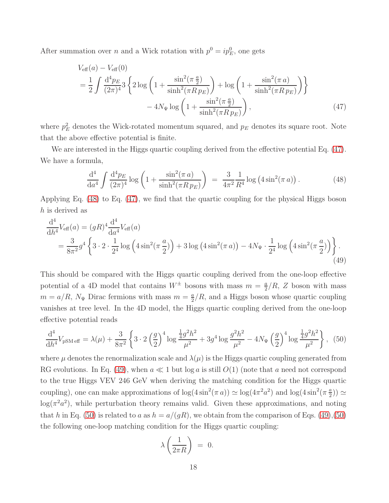After summation over *n* and a Wick rotation with  $p^0 = ip_E^0$ , one gets

$$
V_{\text{eff}}(a) - V_{\text{eff}}(0)
$$
  
=  $\frac{1}{2} \int \frac{d^4 p_E}{(2\pi)^4} 3 \left\{ 2 \log \left( 1 + \frac{\sin^2(\pi \frac{a}{2})}{\sinh^2(\pi R p_E)} \right) + \log \left( 1 + \frac{\sin^2(\pi a)}{\sinh^2(\pi R p_E)} \right) \right\}$   
-  $4N_{\Psi} \log \left( 1 + \frac{\sin^2(\pi \frac{a}{2})}{\sinh^2(\pi R p_E)} \right),$  (47)

where  $p_E^2$  denotes the Wick-rotated momentum squared, and  $p_E$  denotes its square root. Note that the above effective potential is finite.

We are interested in the Higgs quartic coupling derived from the effective potential Eq. [\(47\)](#page-17-0). We have a formula,

<span id="page-17-1"></span><span id="page-17-0"></span>
$$
\frac{d^4}{da^4} \int \frac{d^4 p_E}{(2\pi)^4} \log \left( 1 + \frac{\sin^2(\pi a)}{\sinh^2(\pi R p_E)} \right) = \frac{3}{4\pi^2} \frac{1}{R^4} \log \left( 4\sin^2(\pi a) \right). \tag{48}
$$

Applying Eq. [\(48\)](#page-17-1) to Eq. [\(47\)](#page-17-0), we find that the quartic coupling for the physical Higgs boson h is derived as

$$
\frac{d^4}{dh^4}V_{\text{eff}}(a) = (gR)^4 \frac{d^4}{da^4} V_{\text{eff}}(a)
$$
  
=  $\frac{3}{8\pi^2} g^4 \left\{ 3 \cdot 2 \cdot \frac{1}{2^4} \log \left( 4 \sin^2(\pi \frac{a}{2}) \right) + 3 \log \left( 4 \sin^2(\pi a) \right) - 4N_{\Psi} \cdot \frac{1}{2^4} \log \left( 4 \sin^2(\pi \frac{a}{2}) \right) \right\}.$  (49)

This should be compared with the Higgs quartic coupling derived from the one-loop effective potential of a 4D model that contains  $W^{\pm}$  bosons with mass  $m = \frac{a}{2}$  $\frac{a}{2}/R$ , Z boson with mass  $m = a/R$ ,  $N_{\Psi}$  Dirac fermions with mass  $m = \frac{a}{2}$  $\frac{a}{2}/R$ , and a Higgs boson whose quartic coupling vanishes at tree level. In the 4D model, the Higgs quartic coupling derived from the one-loop effective potential reads

$$
\frac{\mathrm{d}^4}{\mathrm{d}h^4} V_{\mathrm{pSM\,eff}} = \lambda(\mu) + \frac{3}{8\pi^2} \left\{ 3 \cdot 2 \left( \frac{g}{2} \right)^4 \log \frac{\frac{1}{4}g^2 h^2}{\mu^2} + 3g^4 \log \frac{g^2 h^2}{\mu^2} - 4N_{\Psi} \left( \frac{g}{2} \right)^4 \log \frac{\frac{1}{4}g^2 h^2}{\mu^2} \right\}, \tag{50}
$$

where  $\mu$  denotes the renormalization scale and  $\lambda(\mu)$  is the Higgs quartic coupling generated from RG evolutions. In Eq. [\(49\)](#page-17-2), when  $a \ll 1$  but log a is still  $O(1)$  (note that a need not correspond to the true Higgs VEV 246 GeV when deriving the matching condition for the Higgs quartic coupling), one can make approximations of  $\log(4\sin^2(\pi a)) \simeq \log(4\pi^2 a^2)$  and  $\log(4\sin^2(\pi a))$  $\frac{a}{2})$ )  $\simeq$  $log(\pi^2 a^2)$ , while perturbation theory remains valid. Given these approximations, and noting that h in Eq. [\(50\)](#page-17-3) is related to a as  $h = a/(gR)$ , we obtain from the comparison of Eqs. [\(49\)](#page-17-2),[\(50\)](#page-17-3) the following one-loop matching condition for the Higgs quartic coupling:

<span id="page-17-3"></span><span id="page-17-2"></span>
$$
\lambda \left( \frac{1}{2\pi R} \right) = 0.
$$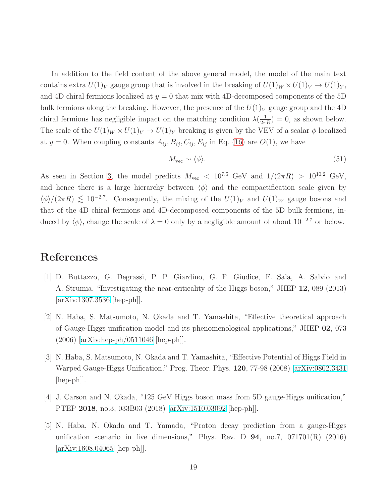In addition to the field content of the above general model, the model of the main text contains extra  $U(1)_V$  gauge group that is involved in the breaking of  $U(1)_W \times U(1)_V \to U(1)_Y$ , and 4D chiral fermions localized at  $y = 0$  that mix with 4D-decomposed components of the 5D bulk fermions along the breaking. However, the presence of the  $U(1)_V$  gauge group and the 4D chiral fermions has negligible impact on the matching condition  $\lambda(\frac{1}{2\pi R}) = 0$ , as shown below. The scale of the  $U(1)_W \times U(1)_V \to U(1)_Y$  breaking is given by the VEV of a scalar  $\phi$  localized at  $y = 0$ . When coupling constants  $A_{ij}, B_{ij}, C_{ij}, E_{ij}$  in Eq. [\(16\)](#page-5-0) are  $O(1)$ , we have

$$
M_{\rm vec} \sim \langle \phi \rangle. \tag{51}
$$

As seen in Section [3,](#page-7-0) the model predicts  $M_{\text{vec}} < 10^{7.5}$  GeV and  $1/(2\pi R) > 10^{10.2}$  GeV, and hence there is a large hierarchy between  $\langle \phi \rangle$  and the compactification scale given by  $\langle \phi \rangle/(2\pi R) \lesssim 10^{-2.7}$ . Consequently, the mixing of the  $U(1)_V$  and  $U(1)_W$  gauge bosons and that of the 4D chiral fermions and 4D-decomposed components of the 5D bulk fermions, induced by  $\langle \phi \rangle$ , change the scale of  $\lambda = 0$  only by a negligible amount of about 10<sup>-2.7</sup> or below.

# <span id="page-18-0"></span>References

- [1] D. Buttazzo, G. Degrassi, P. P. Giardino, G. F. Giudice, F. Sala, A. Salvio and A. Strumia, "Investigating the near-criticality of the Higgs boson," JHEP 12, 089 (2013) [\[arXiv:1307.3536](http://arxiv.org/abs/1307.3536) [hep-ph]].
- <span id="page-18-1"></span>[2] N. Haba, S. Matsumoto, N. Okada and T. Yamashita, "Effective theoretical approach of Gauge-Higgs unification model and its phenomenological applications," JHEP 02, 073 (2006) [\[arXiv:hep-ph/0511046](http://arxiv.org/abs/hep-ph/0511046) [hep-ph]].
- <span id="page-18-2"></span>[3] N. Haba, S. Matsumoto, N. Okada and T. Yamashita, "Effective Potential of Higgs Field in Warped Gauge-Higgs Unification," Prog. Theor. Phys. 120, 77-98 (2008) [\[arXiv:0802.3431](http://arxiv.org/abs/0802.3431) [hep-ph]].
- <span id="page-18-4"></span><span id="page-18-3"></span>[4] J. Carson and N. Okada, "125 GeV Higgs boson mass from 5D gauge-Higgs unification," PTEP 2018, no.3, 033B03 (2018) [\[arXiv:1510.03092](http://arxiv.org/abs/1510.03092) [hep-ph]].
- [5] N. Haba, N. Okada and T. Yamada, "Proton decay prediction from a gauge-Higgs unification scenario in five dimensions," Phys. Rev. D  $94$ , no.7,  $071701(R)$  (2016) [\[arXiv:1608.04065](http://arxiv.org/abs/1608.04065) [hep-ph]].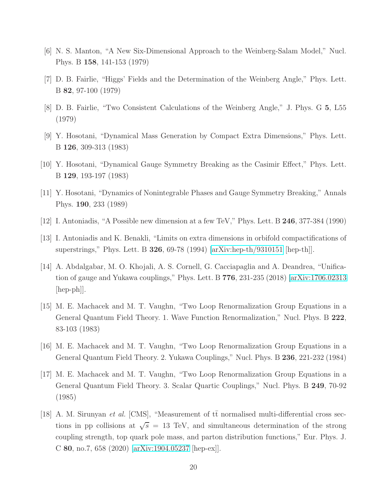- <span id="page-19-1"></span><span id="page-19-0"></span>[6] N. S. Manton, "A New Six-Dimensional Approach to the Weinberg-Salam Model," Nucl. Phys. B 158, 141-153 (1979)
- <span id="page-19-2"></span>[7] D. B. Fairlie, "Higgs' Fields and the Determination of the Weinberg Angle," Phys. Lett. B 82, 97-100 (1979)
- <span id="page-19-3"></span>[8] D. B. Fairlie, "Two Consistent Calculations of the Weinberg Angle," J. Phys. G 5, L55 (1979)
- <span id="page-19-4"></span>[9] Y. Hosotani, "Dynamical Mass Generation by Compact Extra Dimensions," Phys. Lett. B 126, 309-313 (1983)
- <span id="page-19-5"></span>[10] Y. Hosotani, "Dynamical Gauge Symmetry Breaking as the Casimir Effect," Phys. Lett. B 129, 193-197 (1983)
- <span id="page-19-6"></span>[11] Y. Hosotani, "Dynamics of Nonintegrable Phases and Gauge Symmetry Breaking," Annals Phys. 190, 233 (1989)
- <span id="page-19-7"></span>[12] I. Antoniadis, "A Possible new dimension at a few TeV," Phys. Lett. B 246, 377-384 (1990)
- <span id="page-19-8"></span>[13] I. Antoniadis and K. Benakli, "Limits on extra dimensions in orbifold compactifications of superstrings," Phys. Lett. B 326, 69-78 (1994) [\[arXiv:hep-th/9310151](http://arxiv.org/abs/hep-th/9310151) [hep-th]].
- [14] A. Abdalgabar, M. O. Khojali, A. S. Cornell, G. Cacciapaglia and A. Deandrea, "Unification of gauge and Yukawa couplings," Phys. Lett. B 776, 231-235 (2018) [\[arXiv:1706.02313](http://arxiv.org/abs/1706.02313) [hep-ph]].
- <span id="page-19-9"></span>[15] M. E. Machacek and M. T. Vaughn, "Two Loop Renormalization Group Equations in a General Quantum Field Theory. 1. Wave Function Renormalization," Nucl. Phys. B 222, 83-103 (1983)
- <span id="page-19-11"></span><span id="page-19-10"></span>[16] M. E. Machacek and M. T. Vaughn, "Two Loop Renormalization Group Equations in a General Quantum Field Theory. 2. Yukawa Couplings," Nucl. Phys. B 236, 221-232 (1984)
- [17] M. E. Machacek and M. T. Vaughn, "Two Loop Renormalization Group Equations in a General Quantum Field Theory. 3. Scalar Quartic Couplings," Nucl. Phys. B 249, 70-92 (1985)
- <span id="page-19-12"></span>[18] A. M. Sirunyan *et al.* [CMS], "Measurement of  $t\bar{t}$  normalised multi-differential cross sections in pp collisions at  $\sqrt{s}$  = 13 TeV, and simultaneous determination of the strong coupling strength, top quark pole mass, and parton distribution functions," Eur. Phys. J. C 80, no.7, 658 (2020) [\[arXiv:1904.05237](http://arxiv.org/abs/1904.05237) [hep-ex]].